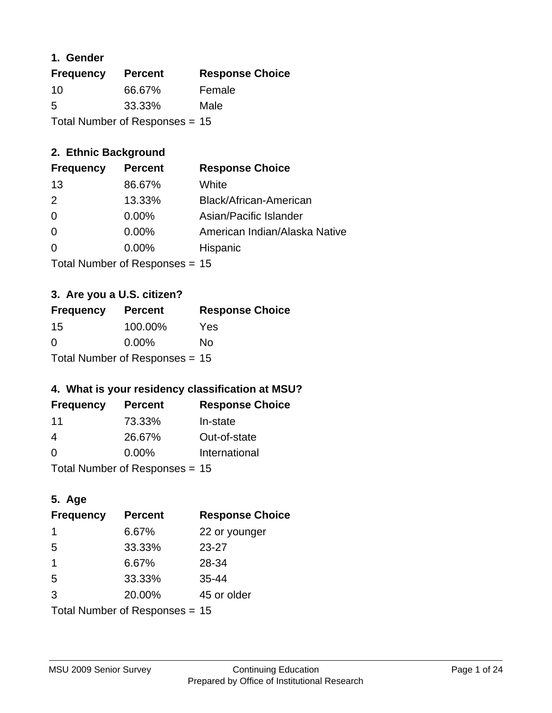#### **1. Gender**

| <b>Frequency</b>                 | <b>Percent</b> | <b>Response Choice</b> |
|----------------------------------|----------------|------------------------|
| 10                               | 66.67%         | Female                 |
| 5                                | 33.33%         | Male                   |
| Total Number of Responses = $15$ |                |                        |

## **2. Ethnic Background**

| <b>Frequency</b> | <b>Percent</b> | <b>Response Choice</b>        |
|------------------|----------------|-------------------------------|
| 13               | 86.67%         | White                         |
| $\mathcal{P}$    | 13.33%         | Black/African-American        |
| $\overline{0}$   | $0.00\%$       | Asian/Pacific Islander        |
| $\overline{0}$   | 0.00%          | American Indian/Alaska Native |
| -0               | 0.00%          | Hispanic                      |
|                  |                |                               |

Total Number of Responses = 15

## **3. Are you a U.S. citizen?**

| <b>Frequency</b>                 | <b>Percent</b> | <b>Response Choice</b> |
|----------------------------------|----------------|------------------------|
| 15                               | 100.00%        | Yes                    |
| $\Omega$                         | $0.00\%$       | Nο                     |
| Total Number of Responses = $15$ |                |                        |

## **4. What is your residency classification at MSU?**

| <b>Frequency</b> | <b>Percent</b> | <b>Response Choice</b> |
|------------------|----------------|------------------------|
| -11              | 73.33%         | In-state               |
| 4                | 26.67%         | Out-of-state           |
| $\Omega$         | $0.00\%$       | International          |
|                  |                |                        |

Total Number of Responses = 15

## **5. Age**

| <b>Frequency</b>                 | <b>Percent</b> | <b>Response Choice</b> |
|----------------------------------|----------------|------------------------|
| 1                                | 6.67%          | 22 or younger          |
| 5                                | 33.33%         | $23 - 27$              |
| 1                                | 6.67%          | 28-34                  |
| 5                                | 33.33%         | $35 - 44$              |
| 3                                | 20.00%         | 45 or older            |
| Total Number of Responses = $15$ |                |                        |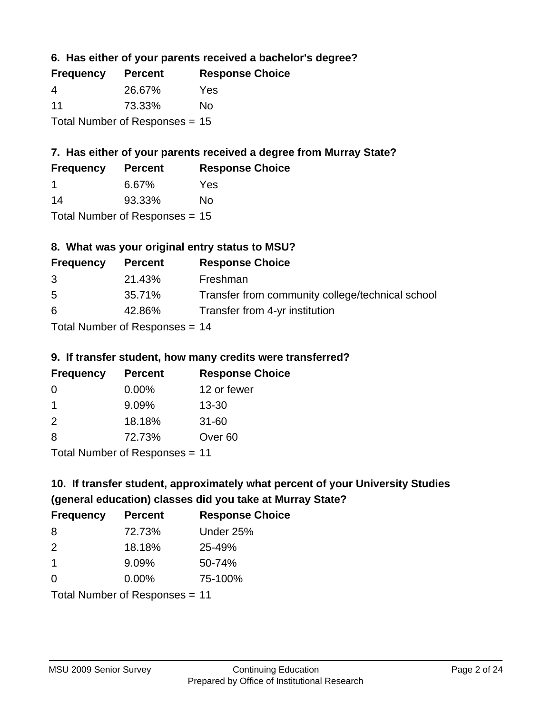**6. Has either of your parents received a bachelor's degree?**

| <b>Frequency</b> | <b>Percent</b>                   | <b>Response Choice</b> |
|------------------|----------------------------------|------------------------|
| 4                | 26.67%                           | Yes                    |
| 11               | 73.33%                           | Nο                     |
|                  | Total Number of Responses = $15$ |                        |

## **7. Has either of your parents received a degree from Murray State?**

| <b>Frequency</b> | <b>Percent</b> | <b>Response Choice</b> |
|------------------|----------------|------------------------|
|                  | 6.67%          | Yes                    |
| 14               | 93.33%         | Nο                     |
|                  |                |                        |

Total Number of Responses = 15

## **8. What was your original entry status to MSU?**

| <b>Frequency</b> | <b>Percent</b>               | <b>Response Choice</b>                           |
|------------------|------------------------------|--------------------------------------------------|
| 3                | 21.43%                       | Freshman                                         |
| 5                | 35.71%                       | Transfer from community college/technical school |
| 6                | 42.86%                       | Transfer from 4-yr institution                   |
|                  | Total Number of Deepensee 44 |                                                  |

Total Number of Responses = 14

#### **9. If transfer student, how many credits were transferred?**

| <b>Frequency</b>             | <b>Percent</b> | <b>Response Choice</b> |
|------------------------------|----------------|------------------------|
| -0                           | $0.00\%$       | 12 or fewer            |
| 1                            | 9.09%          | $13 - 30$              |
| $\mathcal{P}$                | 18.18%         | $31 - 60$              |
| -8                           | 72.73%         | Over <sub>60</sub>     |
| Total Number of Desponses 44 |                |                        |

Total Number of Responses = 11

## **10. If transfer student, approximately what percent of your University Studies (general education) classes did you take at Murray State?**

| <b>Frequency</b>               | <b>Percent</b> | <b>Response Choice</b> |
|--------------------------------|----------------|------------------------|
| -8                             | 72.73%         | Under 25%              |
| $\mathcal{P}$                  | 18.18%         | 25-49%                 |
| $\overline{1}$                 | 9.09%          | 50-74%                 |
| $\Omega$                       | 0.00%          | 75-100%                |
| Total Number of Responses = 11 |                |                        |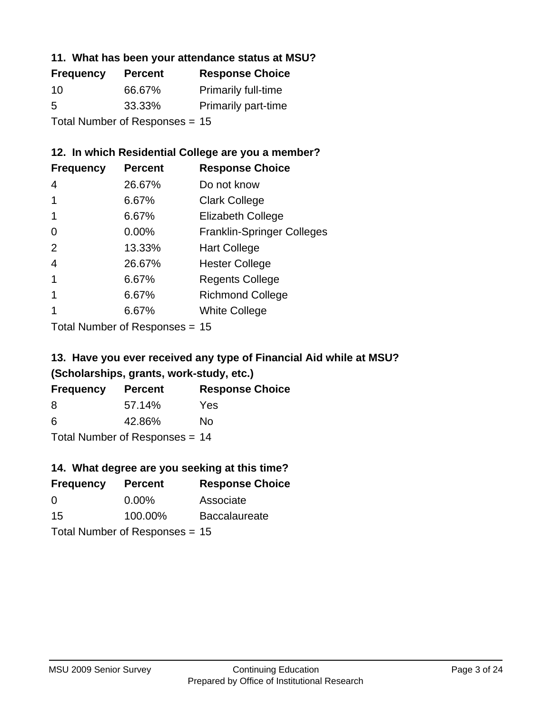#### **11. What has been your attendance status at MSU?**

| <b>Frequency</b>               | <b>Percent</b> | <b>Response Choice</b>     |
|--------------------------------|----------------|----------------------------|
| 10                             | 66.67%         | Primarily full-time        |
| 5                              | 33.33%         | <b>Primarily part-time</b> |
| Total Number of Responses = 15 |                |                            |

### **12. In which Residential College are you a member?**

| <b>Frequency</b> | <b>Percent</b> | <b>Response Choice</b>            |
|------------------|----------------|-----------------------------------|
| 4                | 26.67%         | Do not know                       |
|                  | 6.67%          | <b>Clark College</b>              |
| 1                | 6.67%          | <b>Elizabeth College</b>          |
| 0                | $0.00\%$       | <b>Franklin-Springer Colleges</b> |
| 2                | 13.33%         | <b>Hart College</b>               |
| 4                | 26.67%         | <b>Hester College</b>             |
|                  | 6.67%          | <b>Regents College</b>            |
|                  | 6.67%          | <b>Richmond College</b>           |
|                  | 6.67%          | <b>White College</b>              |
|                  |                |                                   |

Total Number of Responses = 15

## **13. Have you ever received any type of Financial Aid while at MSU? (Scholarships, grants, work-study, etc.)**

| <b>Frequency</b> | <b>Percent</b>                 | <b>Response Choice</b> |
|------------------|--------------------------------|------------------------|
| 8                | 57.14%                         | Yes                    |
| 6                | 42.86%                         | No                     |
|                  | Total Number of Responses = 14 |                        |

**14. What degree are you seeking at this time?**

| <b>Frequency</b> | <b>Percent</b>                   | <b>Response Choice</b> |
|------------------|----------------------------------|------------------------|
| 0                | $0.00\%$                         | Associate              |
| 15               | 100.00%                          | <b>Baccalaureate</b>   |
|                  | Total Number of Responses = $15$ |                        |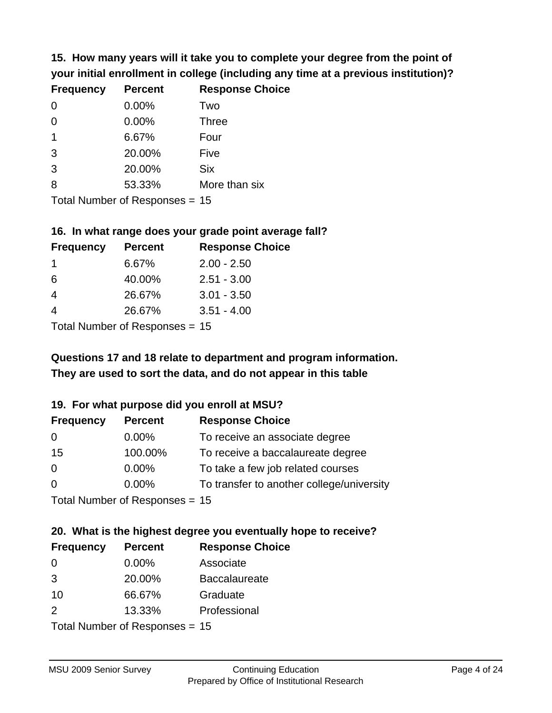**15. How many years will it take you to complete your degree from the point of your initial enrollment in college (including any time at a previous institution)?**

| <b>Frequency</b> | <b>Percent</b> | <b>Response Choice</b> |
|------------------|----------------|------------------------|
| $\Omega$         | 0.00%          | Two                    |
| 0                | 0.00%          | <b>Three</b>           |
|                  | 6.67%          | Four                   |
| 3                | 20.00%         | Five                   |
| 3                | 20.00%         | <b>Six</b>             |
| 8                | 53.33%         | More than six          |
|                  |                |                        |

Total Number of Responses = 15

#### **16. In what range does your grade point average fall?**

| <b>Frequency</b> | <b>Percent</b> | <b>Response Choice</b> |
|------------------|----------------|------------------------|
|                  | 6.67%          | $2.00 - 2.50$          |
| 6                | 40.00%         | $2.51 - 3.00$          |
| 4                | 26.67%         | $3.01 - 3.50$          |
|                  | 26.67%         | $3.51 - 4.00$          |
|                  |                |                        |

Total Number of Responses = 15

## **They are used to sort the data, and do not appear in this table Questions 17 and 18 relate to department and program information.**

#### **19. For what purpose did you enroll at MSU?**

| <b>Frequency</b> | <b>Percent</b>                  | <b>Response Choice</b>                    |
|------------------|---------------------------------|-------------------------------------------|
| 0                | $0.00\%$                        | To receive an associate degree            |
| 15               | 100.00%                         | To receive a baccalaureate degree         |
| $\overline{0}$   | $0.00\%$                        | To take a few job related courses         |
| $\Omega$         | 0.00%                           | To transfer to another college/university |
|                  | Total Number of Responses $-15$ |                                           |

Total Indiffunction Responses =  $15$ 

# **20. What is the highest degree you eventually hope to receive?**

| <b>Frequency</b> | <b>Percent</b>                  | <b>Response Choice</b> |
|------------------|---------------------------------|------------------------|
| 0                | 0.00%                           | Associate              |
| 3                | 20.00%                          | <b>Baccalaureate</b>   |
| 10               | 66.67%                          | Graduate               |
| $\mathcal{P}$    | 13.33%                          | Professional           |
|                  | $Total Number of Denonose = 15$ |                        |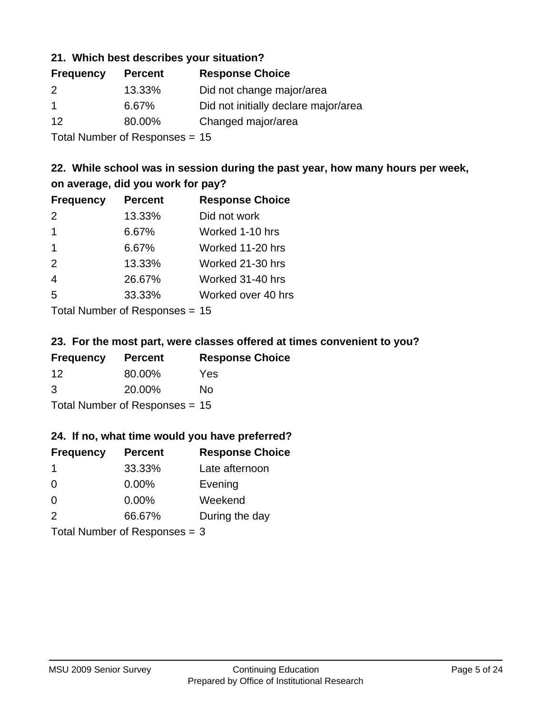#### **21. Which best describes your situation?**

| <b>Frequency</b> | <b>Percent</b> | <b>Response Choice</b>               |
|------------------|----------------|--------------------------------------|
| -2               | 13.33%         | Did not change major/area            |
| $\mathbf 1$      | 6.67%          | Did not initially declare major/area |
| -12              | 80.00%         | Changed major/area                   |
|                  |                |                                      |

Total Number of Responses = 15

### **22. While school was in session during the past year, how many hours per week, on average, did you work for pay?**

| <b>Frequency</b> | <b>Percent</b> | <b>Response Choice</b> |
|------------------|----------------|------------------------|
| 2                | 13.33%         | Did not work           |
| $\overline{1}$   | 6.67%          | Worked 1-10 hrs        |
| $\mathbf 1$      | 6.67%          | Worked 11-20 hrs       |
| 2                | 13.33%         | Worked 21-30 hrs       |
| $\overline{4}$   | 26.67%         | Worked 31-40 hrs       |
| 5                | 33.33%         | Worked over 40 hrs     |
|                  |                |                        |

Total Number of Responses = 15

#### **23. For the most part, were classes offered at times convenient to you?**

| <b>Frequency</b> | <b>Percent</b>                 | <b>Response Choice</b> |
|------------------|--------------------------------|------------------------|
| 12               | 80.00%                         | Yes                    |
| 3                | 20.00%                         | No.                    |
|                  | Total Number of Responses = 15 |                        |

#### **24. If no, what time would you have preferred?**

| <b>Frequency</b>                | <b>Percent</b> | <b>Response Choice</b> |
|---------------------------------|----------------|------------------------|
| -1                              | 33.33%         | Late afternoon         |
| $\Omega$                        | $0.00\%$       | Evening                |
| $\Omega$                        | 0.00%          | Weekend                |
| 2                               | 66.67%         | During the day         |
| Total Number of Responses = $3$ |                |                        |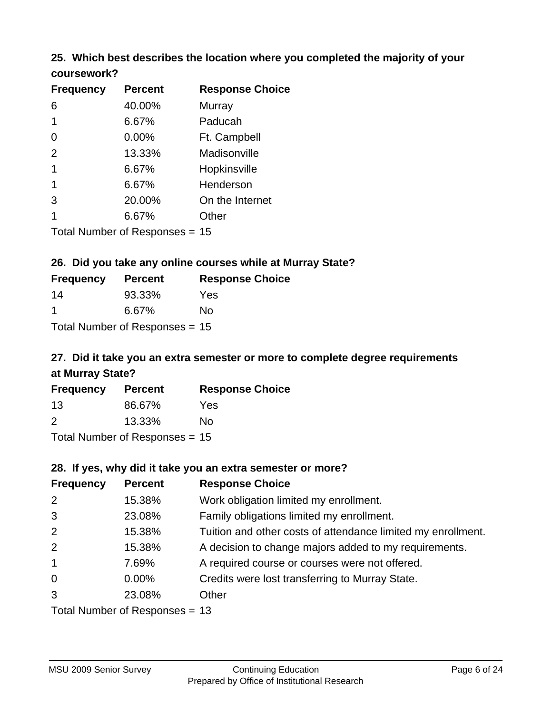### **25. Which best describes the location where you completed the majority of your coursework?**

| <b>Frequency</b> | <b>Percent</b>            | <b>Response Choice</b> |
|------------------|---------------------------|------------------------|
| 6                | 40.00%                    | Murray                 |
| 1                | 6.67%                     | Paducah                |
| 0                | 0.00%                     | Ft. Campbell           |
| 2                | 13.33%                    | Madisonville           |
| 1                | 6.67%                     | Hopkinsville           |
| 1                | 6.67%                     | Henderson              |
| 3                | 20.00%                    | On the Internet        |
| 1                | 6.67%                     | Other                  |
|                  | Total Number of Despanses | 4 E                    |

Total Number of Responses = 15

#### **26. Did you take any online courses while at Murray State?**

| <b>Frequency</b> | <b>Percent</b>                   | <b>Response Choice</b> |
|------------------|----------------------------------|------------------------|
| -14              | 93.33%                           | Yes                    |
| -1               | 6.67%                            | Nο                     |
|                  | Total Number of Responses = $15$ |                        |

## **27. Did it take you an extra semester or more to complete degree requirements at Murray State?**

| <b>Frequency</b>           | <b>Percent</b> | <b>Response Choice</b> |
|----------------------------|----------------|------------------------|
| 13                         | 86.67%         | Yes                    |
| 2                          | 13.33%         | Nο                     |
| Tatal Manakan af Dagmanage |                |                        |

Total Number of Responses = 15

#### **28. If yes, why did it take you an extra semester or more?**

| <b>Frequency</b>                 | <b>Percent</b> | <b>Response Choice</b>                                       |
|----------------------------------|----------------|--------------------------------------------------------------|
| 2                                | 15.38%         | Work obligation limited my enrollment.                       |
| 3                                | 23.08%         | Family obligations limited my enrollment.                    |
| 2                                | 15.38%         | Tuition and other costs of attendance limited my enrollment. |
| 2                                | 15.38%         | A decision to change majors added to my requirements.        |
| $\mathbf{1}$                     | 7.69%          | A required course or courses were not offered.               |
| $\overline{0}$                   | $0.00\%$       | Credits were lost transferring to Murray State.              |
| 3                                | 23.08%         | Other                                                        |
| Total Number of Responses $= 13$ |                |                                                              |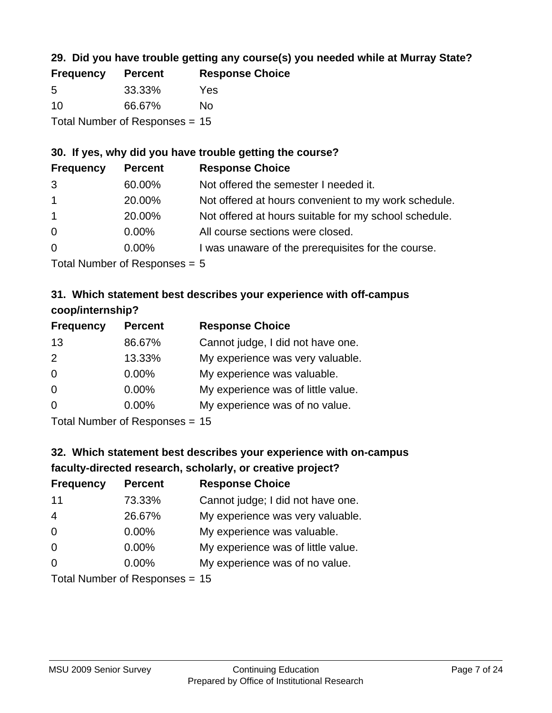## **29. Did you have trouble getting any course(s) you needed while at Murray State?**

| <b>Frequency</b> | <b>Percent</b>                   | <b>Response Choice</b> |
|------------------|----------------------------------|------------------------|
| -5               | 33.33%                           | Yes                    |
| 10               | 66.67%                           | Nο                     |
|                  | Total Number of Responses $= 15$ |                        |

#### **30. If yes, why did you have trouble getting the course?**

| <b>Frequency</b> | <b>Percent</b> | <b>Response Choice</b>                                |
|------------------|----------------|-------------------------------------------------------|
| 3                | 60.00%         | Not offered the semester I needed it.                 |
| $\overline{1}$   | 20.00%         | Not offered at hours convenient to my work schedule.  |
| $\overline{1}$   | 20.00%         | Not offered at hours suitable for my school schedule. |
| $\overline{0}$   | $0.00\%$       | All course sections were closed.                      |
| $\overline{0}$   | $0.00\%$       | I was unaware of the prerequisites for the course.    |
|                  |                |                                                       |

Total Number of Responses = 5

## **31. Which statement best describes your experience with off-campus coop/internship?**

| <b>Frequency</b> | <b>Percent</b> | <b>Response Choice</b>             |
|------------------|----------------|------------------------------------|
| 13               | 86.67%         | Cannot judge, I did not have one.  |
| 2                | 13.33%         | My experience was very valuable.   |
| $\Omega$         | 0.00%          | My experience was valuable.        |
| $\Omega$         | 0.00%          | My experience was of little value. |
| $\Omega$         | 0.00%          | My experience was of no value.     |
|                  |                |                                    |

Total Number of Responses = 15

# **32. Which statement best describes your experience with on-campus faculty-directed research, scholarly, or creative project?**

| <b>Frequency</b> | <b>Percent</b>             | <b>Response Choice</b>             |
|------------------|----------------------------|------------------------------------|
| 11               | 73.33%                     | Cannot judge; I did not have one.  |
| $\overline{4}$   | 26.67%                     | My experience was very valuable.   |
| $\Omega$         | $0.00\%$                   | My experience was valuable.        |
| $\Omega$         | 0.00%                      | My experience was of little value. |
| $\Omega$         | 0.00%                      | My experience was of no value.     |
|                  | Tatal Number of Desperance |                                    |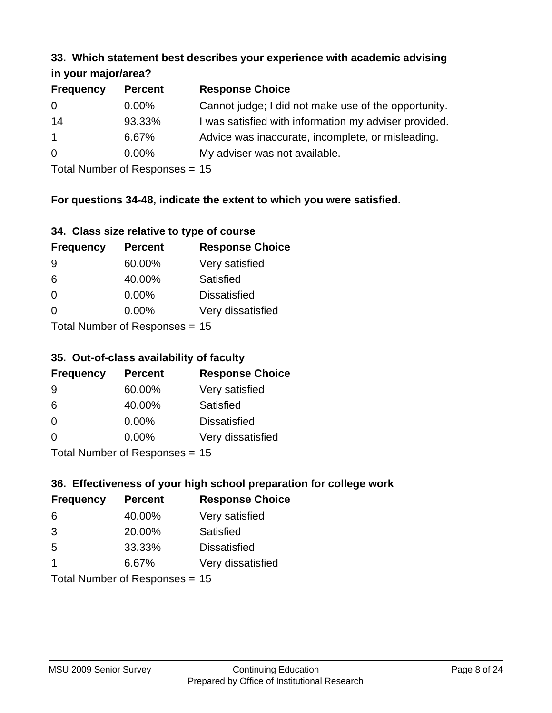#### **33. Which statement best describes your experience with academic advising in your major/area?**

| $\mathbf{u}$ yvu $\mathbf{u}$ yvu $\mathbf{v}$ |                |                                                       |
|------------------------------------------------|----------------|-------------------------------------------------------|
| <b>Frequency</b>                               | <b>Percent</b> | <b>Response Choice</b>                                |
| 0                                              | $0.00\%$       | Cannot judge; I did not make use of the opportunity.  |
| 14                                             | 93.33%         | I was satisfied with information my adviser provided. |
| $\mathbf{1}$                                   | 6.67%          | Advice was inaccurate, incomplete, or misleading.     |
| $\overline{0}$                                 | $0.00\%$       | My adviser was not available.                         |
|                                                |                |                                                       |

Total Number of Responses = 15

## **For questions 34-48, indicate the extent to which you were satisfied.**

| 34. Class size relative to type of course |
|-------------------------------------------|
|-------------------------------------------|

| <b>Frequency</b>                | <b>Percent</b> | <b>Response Choice</b> |  |
|---------------------------------|----------------|------------------------|--|
| -9                              | 60.00%         | Very satisfied         |  |
| 6                               | 40.00%         | Satisfied              |  |
| $\Omega$                        | $0.00\%$       | <b>Dissatisfied</b>    |  |
| $\Omega$                        | 0.00%          | Very dissatisfied      |  |
| Total Number of Responses $-15$ |                |                        |  |

Total Number of Responses = 15

## **35. Out-of-class availability of faculty**

| <b>Frequency</b>         | <b>Percent</b> | <b>Response Choice</b> |  |
|--------------------------|----------------|------------------------|--|
| 9                        | 60.00%         | Very satisfied         |  |
| 6                        | 40.00%         | Satisfied              |  |
| $\Omega$                 | $0.00\%$       | <b>Dissatisfied</b>    |  |
| $\Omega$                 | $0.00\%$       | Very dissatisfied      |  |
| Total Number of DoEROR 0 |                |                        |  |

Total Number of Responses = 15

## **36. Effectiveness of your high school preparation for college work**

| <b>Frequency</b> | <b>Percent</b>                  | <b>Response Choice</b> |
|------------------|---------------------------------|------------------------|
| 6                | 40.00%                          | Very satisfied         |
| 3                | 20.00%                          | Satisfied              |
| 5                | 33.33%                          | <b>Dissatisfied</b>    |
| -1               | 6.67%                           | Very dissatisfied      |
|                  | Total Number of Decononces - 15 |                        |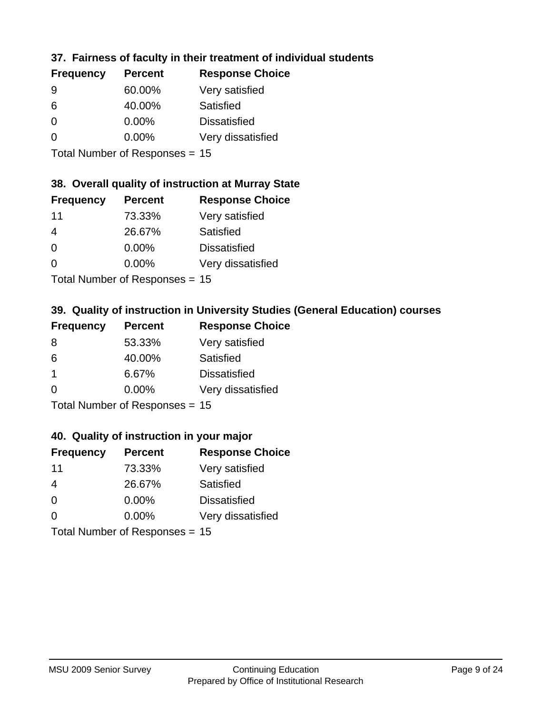## **37. Fairness of faculty in their treatment of individual students**

| <b>Frequency</b> | <b>Percent</b> | <b>Response Choice</b> |
|------------------|----------------|------------------------|
| 9                | 60.00%         | Very satisfied         |
| 6                | 40.00%         | Satisfied              |
| $\Omega$         | $0.00\%$       | <b>Dissatisfied</b>    |
| $\Omega$         | 0.00%          | Very dissatisfied      |
|                  |                |                        |

Total Number of Responses = 15

#### **38. Overall quality of instruction at Murray State**

| <b>Frequency</b> | <b>Percent</b> | <b>Response Choice</b> |
|------------------|----------------|------------------------|
| 11               | 73.33%         | Very satisfied         |
| 4                | 26.67%         | Satisfied              |
| $\Omega$         | 0.00%          | <b>Dissatisfied</b>    |
| $\Omega$         | 0.00%          | Very dissatisfied      |
|                  |                |                        |

Total Number of Responses = 15

## **39. Quality of instruction in University Studies (General Education) courses**

| <b>Frequency</b> | <b>Percent</b>            | <b>Response Choice</b> |
|------------------|---------------------------|------------------------|
| 8                | 53.33%                    | Very satisfied         |
| 6                | 40.00%                    | Satisfied              |
| -1               | 6.67%                     | <b>Dissatisfied</b>    |
| $\Omega$         | 0.00%                     | Very dissatisfied      |
|                  | Total Number of Deepensee |                        |

Total Number of Responses = 15

#### **40. Quality of instruction in your major**

| <b>Frequency</b> | <b>Percent</b>            | <b>Response Choice</b> |
|------------------|---------------------------|------------------------|
| 11               | 73.33%                    | Very satisfied         |
| 4                | 26.67%                    | Satisfied              |
| $\Omega$         | 0.00%                     | <b>Dissatisfied</b>    |
| $\Omega$         | 0.00%                     | Very dissatisfied      |
|                  | Total Number of Desponses |                        |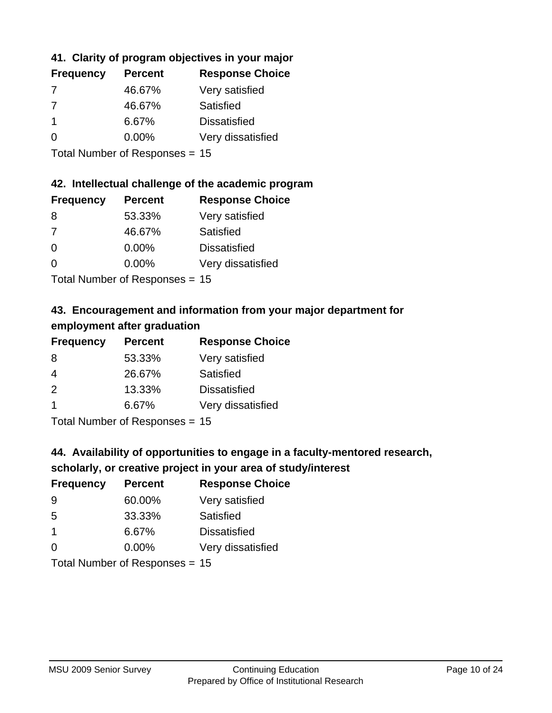## **41. Clarity of program objectives in your major**

| <b>Frequency</b> | <b>Percent</b> | <b>Response Choice</b> |
|------------------|----------------|------------------------|
|                  | 46.67%         | Very satisfied         |
| -7               | 46.67%         | Satisfied              |
|                  | 6.67%          | <b>Dissatisfied</b>    |
| ∩                | $0.00\%$       | Very dissatisfied      |
|                  |                |                        |

Total Number of Responses = 15

#### **42. Intellectual challenge of the academic program**

| <b>Frequency</b> | <b>Percent</b> | <b>Response Choice</b> |
|------------------|----------------|------------------------|
| 8                | 53.33%         | Very satisfied         |
| 7                | 46.67%         | Satisfied              |
| $\Omega$         | $0.00\%$       | <b>Dissatisfied</b>    |
| $\Omega$         | 0.00%          | Very dissatisfied      |
|                  |                |                        |

Total Number of Responses = 15

## **43. Encouragement and information from your major department for employment after graduation**

| <b>Frequency</b>     | <b>Percent</b>                                          | <b>Response Choice</b> |
|----------------------|---------------------------------------------------------|------------------------|
| 8                    | 53.33%                                                  | Very satisfied         |
| 4                    | 26.67%                                                  | Satisfied              |
| 2                    | 13.33%                                                  | <b>Dissatisfied</b>    |
| $\blacktriangleleft$ | 6.67%                                                   | Very dissatisfied      |
|                      | $T$ at all Masseds and $R$ $\sim$ and $\sim$ and $\sim$ |                        |

Total Number of Responses = 15

## **44. Availability of opportunities to engage in a faculty-mentored research,**

#### **scholarly, or creative project in your area of study/interest**

| <b>Frequency</b> | <b>Percent</b> | <b>Response Choice</b> |
|------------------|----------------|------------------------|
| 9                | 60.00%         | Very satisfied         |
| 5                | 33.33%         | Satisfied              |
| $\mathbf 1$      | 6.67%          | <b>Dissatisfied</b>    |
| $\Omega$         | 0.00%          | Very dissatisfied      |
|                  |                |                        |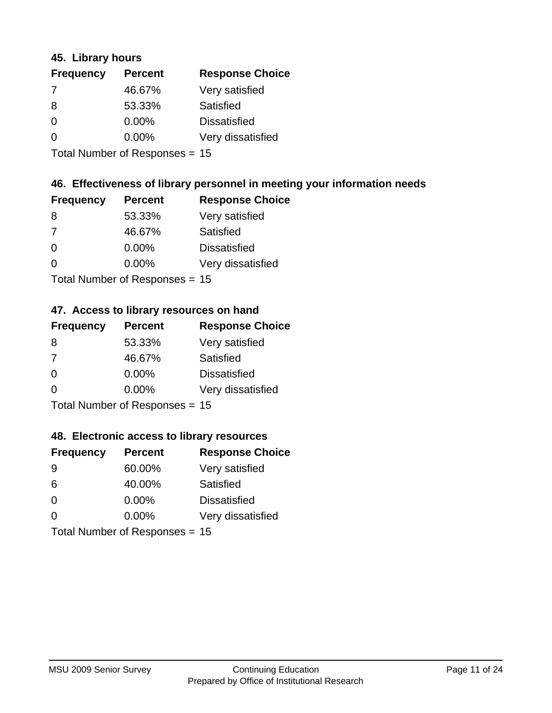#### **45. Library hours**

| <b>Frequency</b> | <b>Percent</b> | <b>Response Choice</b> |
|------------------|----------------|------------------------|
| 7                | 46.67%         | Very satisfied         |
| 8                | 53.33%         | Satisfied              |
| $\Omega$         | 0.00%          | <b>Dissatisfied</b>    |
| $\Omega$         | 0.00%          | Very dissatisfied      |
|                  |                |                        |

Total Number of Responses = 15

### **46. Effectiveness of library personnel in meeting your information needs**

| <b>Frequency</b> | <b>Percent</b> | <b>Response Choice</b> |
|------------------|----------------|------------------------|
| 8                | 53.33%         | Very satisfied         |
| 7                | 46.67%         | Satisfied              |
| $\Omega$         | 0.00%          | <b>Dissatisfied</b>    |
| $\Omega$         | 0.00%          | Very dissatisfied      |
|                  |                |                        |

Total Number of Responses = 15

#### **47. Access to library resources on hand**

| <b>Frequency</b> | <b>Percent</b>                  | <b>Response Choice</b> |
|------------------|---------------------------------|------------------------|
| 8                | 53.33%                          | Very satisfied         |
| 7                | 46.67%                          | Satisfied              |
| $\Omega$         | $0.00\%$                        | <b>Dissatisfied</b>    |
| $\Omega$         | $0.00\%$                        | Very dissatisfied      |
|                  | $Total Number of Doonono0 = 4E$ |                        |

Total Number of Responses = 15

#### **48. Electronic access to library resources**

| <b>Frequency</b> | <b>Percent</b>                 | <b>Response Choice</b> |
|------------------|--------------------------------|------------------------|
| 9                | 60.00%                         | Very satisfied         |
| 6                | 40.00%                         | Satisfied              |
| $\Omega$         | $0.00\%$                       | <b>Dissatisfied</b>    |
| $\Omega$         | $0.00\%$                       | Very dissatisfied      |
|                  | Total Number of Responses = 15 |                        |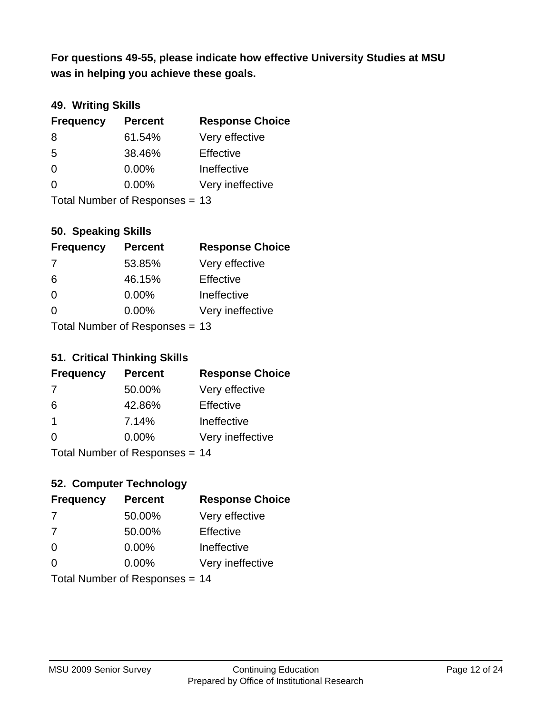**was in helping you achieve these goals. For questions 49-55, please indicate how effective University Studies at MSU** 

## **49. Writing Skills**

| <b>Frequency</b> | <b>Percent</b>                 | <b>Response Choice</b> |
|------------------|--------------------------------|------------------------|
| 8                | 61.54%                         | Very effective         |
| 5                | 38.46%                         | Effective              |
| $\Omega$         | $0.00\%$                       | Ineffective            |
| $\Omega$         | $0.00\%$                       | Very ineffective       |
|                  | Total Number of Responses = 13 |                        |

### **50. Speaking Skills**

| <b>Frequency</b> | <b>Percent</b>                 | <b>Response Choice</b> |
|------------------|--------------------------------|------------------------|
| -7               | 53.85%                         | Very effective         |
| 6                | 46.15%                         | Effective              |
| $\Omega$         | 0.00%                          | Ineffective            |
| $\Omega$         | 0.00%                          | Very ineffective       |
|                  | Total Number of Reconnege - 13 |                        |

Total Number of Responses = 13

#### **51. Critical Thinking Skills**

| <b>Frequency</b> | <b>Percent</b>                  | <b>Response Choice</b> |
|------------------|---------------------------------|------------------------|
| -7               | 50.00%                          | Very effective         |
| 6                | 42.86%                          | Effective              |
| -1               | 7.14%                           | Ineffective            |
| $\Omega$         | 0.00%                           | Very ineffective       |
|                  | $Total Number of Doonono0 = 11$ |                        |

Total Number of Responses = 14

## **52. Computer Technology**

| <b>Frequency</b> | <b>Percent</b>                 | <b>Response Choice</b> |
|------------------|--------------------------------|------------------------|
| 7                | 50.00%                         | Very effective         |
| 7                | 50.00%                         | Effective              |
| $\Omega$         | $0.00\%$                       | Ineffective            |
| $\Omega$         | 0.00%                          | Very ineffective       |
|                  | Total Number of Responses = 14 |                        |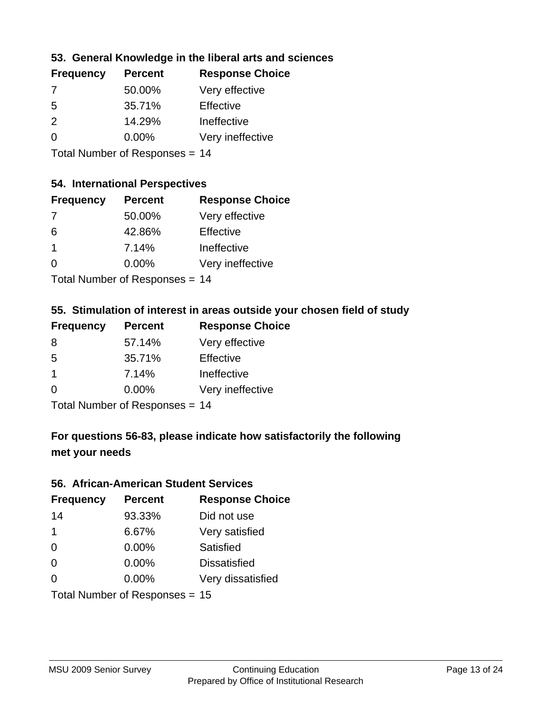### **53. General Knowledge in the liberal arts and sciences**

| <b>Frequency</b> | <b>Percent</b> | <b>Response Choice</b> |
|------------------|----------------|------------------------|
| 7                | 50.00%         | Very effective         |
| .5               | 35.71%         | Effective              |
| $\mathcal{P}$    | 14.29%         | Ineffective            |
| $\Omega$         | $0.00\%$       | Very ineffective       |
|                  |                |                        |

Total Number of Responses = 14

## **54. International Perspectives**

| <b>Frequency</b> | <b>Percent</b> | <b>Response Choice</b> |
|------------------|----------------|------------------------|
| -7               | 50.00%         | Very effective         |
| 6                | 42.86%         | Effective              |
| $\mathbf 1$      | 7.14%          | Ineffective            |
| $\Omega$         | 0.00%          | Very ineffective       |
|                  |                |                        |

Total Number of Responses = 14

#### **55. Stimulation of interest in areas outside your chosen field of study**

| <b>Frequency</b> | <b>Percent</b>            | <b>Response Choice</b> |
|------------------|---------------------------|------------------------|
| 8                | 57.14%                    | Very effective         |
| .5               | 35.71%                    | Effective              |
| $\mathbf 1$      | 7.14%                     | Ineffective            |
| $\Omega$         | 0.00%                     | Very ineffective       |
|                  | Total Number of Deepensee |                        |

Total Number of Responses = 14

## **For questions 56-83, please indicate how satisfactorily the following met your needs**

#### **56. African-American Student Services**

| <b>Frequency</b> | <b>Percent</b>                 | <b>Response Choice</b> |
|------------------|--------------------------------|------------------------|
| 14               | 93.33%                         | Did not use            |
| $\mathbf 1$      | 6.67%                          | Very satisfied         |
| $\Omega$         | 0.00%                          | Satisfied              |
| 0                | $0.00\%$                       | <b>Dissatisfied</b>    |
| $\Omega$         | 0.00%                          | Very dissatisfied      |
|                  | Total Number of Responses = 15 |                        |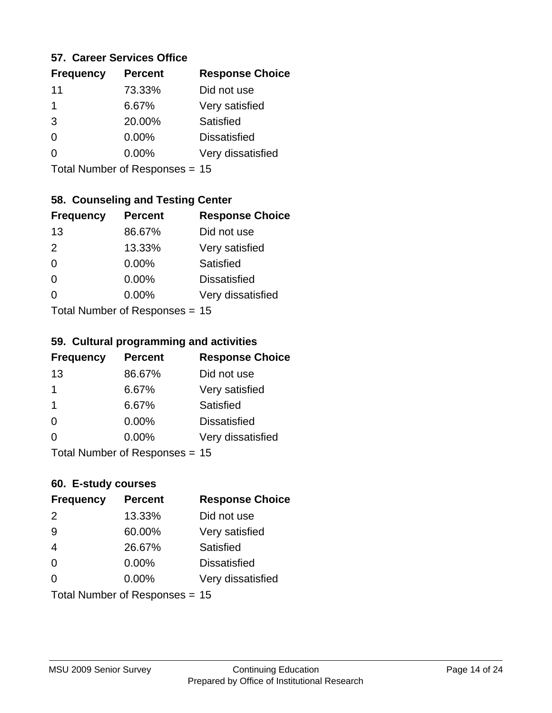#### **57. Career Services Office**

| <b>Frequency</b> | <b>Percent</b> | <b>Response Choice</b> |
|------------------|----------------|------------------------|
| 11               | 73.33%         | Did not use            |
| 1                | 6.67%          | Very satisfied         |
| 3                | 20.00%         | Satisfied              |
| 0                | $0.00\%$       | <b>Dissatisfied</b>    |
|                  | $0.00\%$       | Very dissatisfied      |
|                  |                |                        |

Total Number of Responses = 15

### **58. Counseling and Testing Center**

| <b>Frequency</b>          | <b>Percent</b> | <b>Response Choice</b> |
|---------------------------|----------------|------------------------|
| 13                        | 86.67%         | Did not use            |
| 2                         | 13.33%         | Very satisfied         |
| $\Omega$                  | 0.00%          | Satisfied              |
| $\Omega$                  | 0.00%          | <b>Dissatisfied</b>    |
| 0                         | 0.00%          | Very dissatisfied      |
| Total Number of Desponses |                |                        |

Total Number of Responses = 15

#### **59. Cultural programming and activities**

| <b>Frequency</b> | <b>Percent</b>                 | <b>Response Choice</b> |
|------------------|--------------------------------|------------------------|
| 13               | 86.67%                         | Did not use            |
| 1                | 6.67%                          | Very satisfied         |
| -1               | 6.67%                          | Satisfied              |
| $\Omega$         | 0.00%                          | <b>Dissatisfied</b>    |
| $\Omega$         | 0.00%                          | Very dissatisfied      |
|                  | Total Number of Responses = 15 |                        |

### **60. E-study courses**

| <b>Frequency</b> | <b>Percent</b>                 | <b>Response Choice</b> |
|------------------|--------------------------------|------------------------|
| 2                | 13.33%                         | Did not use            |
| 9                | 60.00%                         | Very satisfied         |
| $\overline{4}$   | 26.67%                         | Satisfied              |
| $\Omega$         | 0.00%                          | <b>Dissatisfied</b>    |
| $\Omega$         | 0.00%                          | Very dissatisfied      |
|                  | Total Number of Responses = 15 |                        |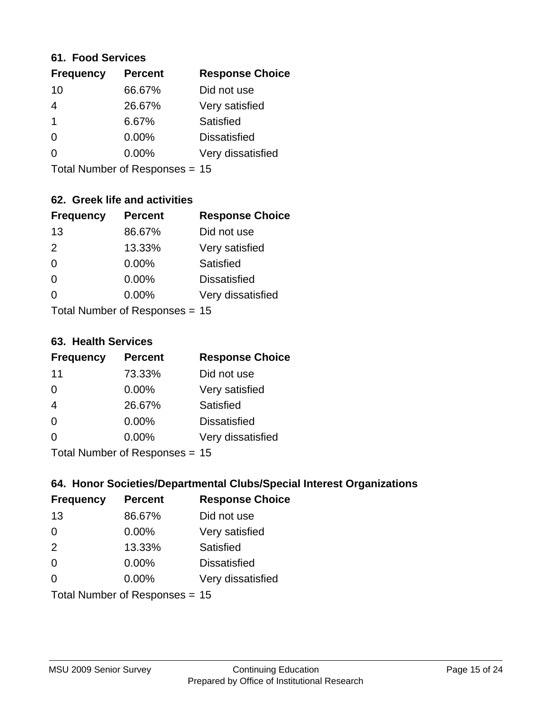#### **61. Food Services**

| <b>Frequency</b> | <b>Percent</b> | <b>Response Choice</b> |
|------------------|----------------|------------------------|
| 10               | 66.67%         | Did not use            |
| 4                | 26.67%         | Very satisfied         |
|                  | 6.67%          | Satisfied              |
| 0                | $0.00\%$       | <b>Dissatisfied</b>    |
| O                | $0.00\%$       | Very dissatisfied      |
|                  |                |                        |

Total Number of Responses = 15

### **62. Greek life and activities**

| <b>Frequency</b> | <b>Percent</b>                   | <b>Response Choice</b> |
|------------------|----------------------------------|------------------------|
| 13               | 86.67%                           | Did not use            |
| 2                | 13.33%                           | Very satisfied         |
| $\Omega$         | 0.00%                            | Satisfied              |
| $\Omega$         | 0.00%                            | <b>Dissatisfied</b>    |
| O                | 0.00%                            | Very dissatisfied      |
|                  | Total Number of Responses = $15$ |                        |

**63. Health Services**

| <b>Frequency</b>          | <b>Percent</b> | <b>Response Choice</b> |
|---------------------------|----------------|------------------------|
| 11                        | 73.33%         | Did not use            |
| $\Omega$                  | 0.00%          | Very satisfied         |
| $\overline{4}$            | 26.67%         | <b>Satisfied</b>       |
| $\Omega$                  | $0.00\%$       | <b>Dissatisfied</b>    |
| $\Omega$                  | 0.00%          | Very dissatisfied      |
| Total Number of DoEROR 0. |                |                        |

Total Number of Responses = 15

### **64. Honor Societies/Departmental Clubs/Special Interest Organizations**

| <b>Frequency</b>               | <b>Percent</b> | <b>Response Choice</b> |
|--------------------------------|----------------|------------------------|
| 13                             | 86.67%         | Did not use            |
| $\Omega$                       | 0.00%          | Very satisfied         |
| 2                              | 13.33%         | Satisfied              |
| $\Omega$                       | 0.00%          | <b>Dissatisfied</b>    |
| $\Omega$                       | 0.00%          | Very dissatisfied      |
| Total Number of Responses = 15 |                |                        |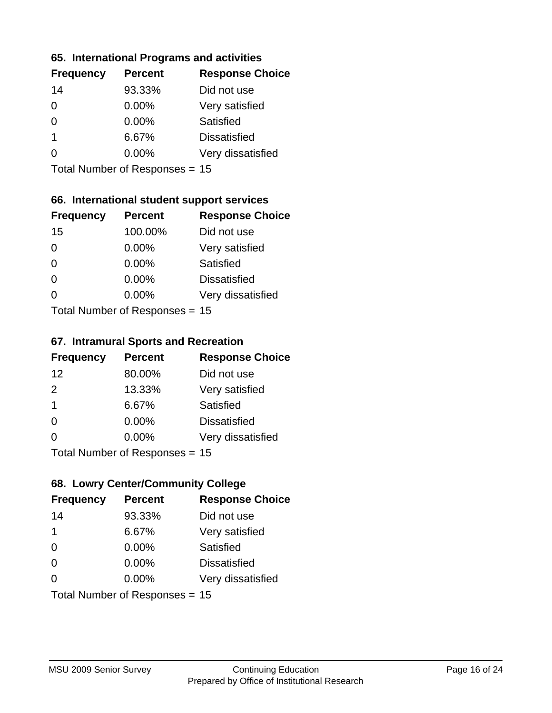#### **65. International Programs and activities**

| <b>Frequency</b> | <b>Percent</b> | <b>Response Choice</b> |
|------------------|----------------|------------------------|
| 14               | 93.33%         | Did not use            |
| 0                | 0.00%          | Very satisfied         |
| 0                | $0.00\%$       | Satisfied              |
| 1                | 6.67%          | <b>Dissatisfied</b>    |
|                  | $0.00\%$       | Very dissatisfied      |
|                  |                |                        |

Total Number of Responses = 15

### **66. International student support services**

| <b>Frequency</b>          | <b>Percent</b> | <b>Response Choice</b> |
|---------------------------|----------------|------------------------|
| 15                        | 100.00%        | Did not use            |
| $\Omega$                  | 0.00%          | Very satisfied         |
| $\Omega$                  | $0.00\%$       | <b>Satisfied</b>       |
| $\Omega$                  | 0.00%          | <b>Dissatisfied</b>    |
| 0                         | 0.00%          | Very dissatisfied      |
| Total Number of Desponses |                |                        |

Total Number of Responses = 15

#### **67. Intramural Sports and Recreation**

| <b>Frequency</b>                | <b>Percent</b> | <b>Response Choice</b> |
|---------------------------------|----------------|------------------------|
| 12                              | 80.00%         | Did not use            |
| $\mathcal{P}$                   | 13.33%         | Very satisfied         |
| $\overline{\mathbf{1}}$         | 6.67%          | Satisfied              |
| $\Omega$                        | 0.00%          | <b>Dissatisfied</b>    |
| $\Omega$                        | 0.00%          | Very dissatisfied      |
| $Total Number of Denonose = 45$ |                |                        |

I otal Number of Responses = 15

## **68. Lowry Center/Community College**

| <b>Frequency</b> | <b>Percent</b>                 | <b>Response Choice</b> |
|------------------|--------------------------------|------------------------|
| 14               | 93.33%                         | Did not use            |
| $\mathbf 1$      | 6.67%                          | Very satisfied         |
| $\Omega$         | 0.00%                          | Satisfied              |
| $\Omega$         | $0.00\%$                       | <b>Dissatisfied</b>    |
| $\Omega$         | 0.00%                          | Very dissatisfied      |
|                  | Total Number of Responses = 15 |                        |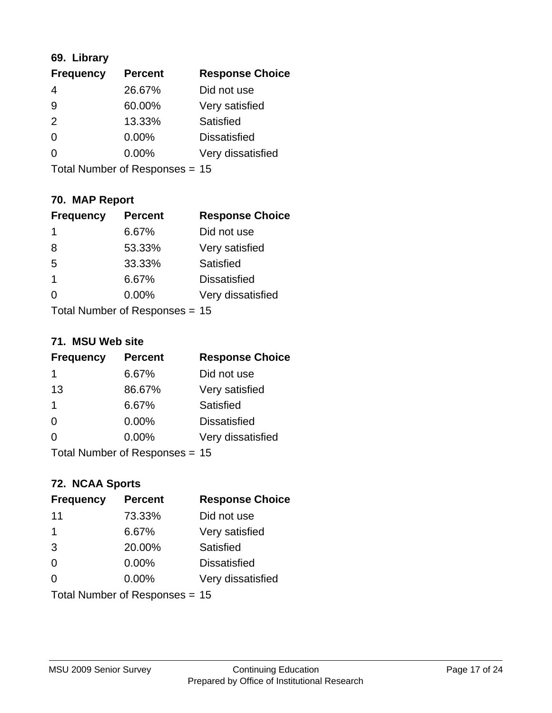## **69. Library**

| <b>Frequency</b> | <b>Percent</b> | <b>Response Choice</b> |
|------------------|----------------|------------------------|
| 4                | 26.67%         | Did not use            |
| 9                | 60.00%         | Very satisfied         |
| $\mathcal{P}$    | 13.33%         | Satisfied              |
| $\Omega$         | 0.00%          | <b>Dissatisfied</b>    |
| 0                | $0.00\%$       | Very dissatisfied      |
|                  |                |                        |

Total Number of Responses = 15

## **70. MAP Report**

| <b>Frequency</b>               | <b>Percent</b> | <b>Response Choice</b> |
|--------------------------------|----------------|------------------------|
| 1                              | 6.67%          | Did not use            |
| 8                              | 53.33%         | Very satisfied         |
| 5                              | 33.33%         | Satisfied              |
| 1                              | 6.67%          | <b>Dissatisfied</b>    |
|                                | $0.00\%$       | Very dissatisfied      |
| Total Number of Responses = 15 |                |                        |

#### **71. MSU Web site**

| <b>Frequency</b> | <b>Percent</b>                 | <b>Response Choice</b> |
|------------------|--------------------------------|------------------------|
| 1                | 6.67%                          | Did not use            |
| 13               | 86.67%                         | Very satisfied         |
| 1                | 6.67%                          | Satisfied              |
| $\Omega$         | 0.00%                          | <b>Dissatisfied</b>    |
| ∩                | $0.00\%$                       | Very dissatisfied      |
|                  | Total Number of Responses = 15 |                        |

### **72. NCAA Sports**

| <b>Frequency</b> | <b>Percent</b>                 | <b>Response Choice</b> |
|------------------|--------------------------------|------------------------|
| 11               | 73.33%                         | Did not use            |
| 1                | 6.67%                          | Very satisfied         |
| 3                | 20.00%                         | Satisfied              |
| $\Omega$         | 0.00%                          | <b>Dissatisfied</b>    |
| $\Omega$         | 0.00%                          | Very dissatisfied      |
|                  | Total Number of Responses = 15 |                        |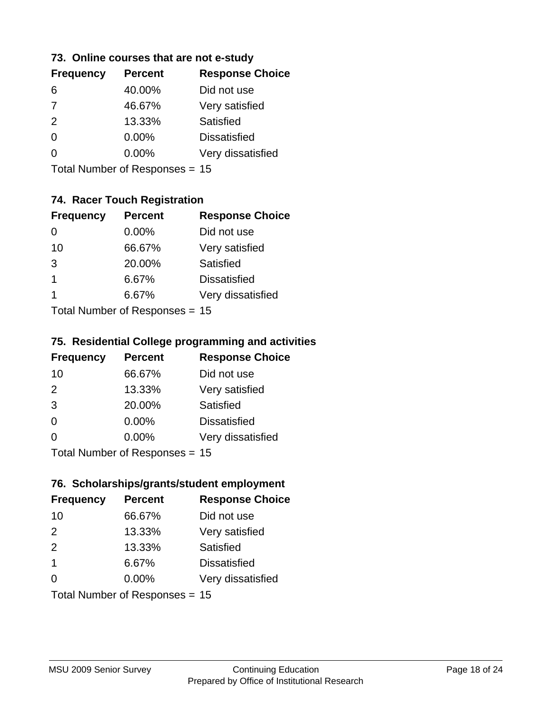#### **73. Online courses that are not e-study**

| <b>Frequency</b> | <b>Percent</b> | <b>Response Choice</b> |
|------------------|----------------|------------------------|
| 6                | 40.00%         | Did not use            |
| $\overline{7}$   | 46.67%         | Very satisfied         |
| 2                | 13.33%         | Satisfied              |
| 0                | $0.00\%$       | <b>Dissatisfied</b>    |
|                  | $0.00\%$       | Very dissatisfied      |
|                  |                |                        |

Total Number of Responses = 15

## **74. Racer Touch Registration**

| <b>Frequency</b>          | <b>Percent</b> | <b>Response Choice</b> |
|---------------------------|----------------|------------------------|
| 0                         | 0.00%          | Did not use            |
| 10                        | 66.67%         | Very satisfied         |
| 3                         | 20.00%         | <b>Satisfied</b>       |
| 1                         | 6.67%          | <b>Dissatisfied</b>    |
| 1                         | 6.67%          | Very dissatisfied      |
| Total Number of Doopepooo |                |                        |

Total Number of Responses = 15

#### **75. Residential College programming and activities**

| <b>Frequency</b>             | <b>Percent</b> | <b>Response Choice</b> |
|------------------------------|----------------|------------------------|
| 10                           | 66.67%         | Did not use            |
| 2                            | 13.33%         | Very satisfied         |
| 3                            | 20.00%         | Satisfied              |
| $\Omega$                     | 0.00%          | <b>Dissatisfied</b>    |
| $\Omega$                     | 0.00%          | Very dissatisfied      |
| $Total Number of Denonog -\$ |                |                        |

Total Number of Responses = 15

#### **76. Scholarships/grants/student employment**

| <b>Frequency</b>               | <b>Percent</b> | <b>Response Choice</b> |
|--------------------------------|----------------|------------------------|
| 10                             | 66.67%         | Did not use            |
| 2                              | 13.33%         | Very satisfied         |
| 2                              | 13.33%         | Satisfied              |
| $\mathbf 1$                    | 6.67%          | <b>Dissatisfied</b>    |
| 0                              | 0.00%          | Very dissatisfied      |
| Total Number of Responses = 15 |                |                        |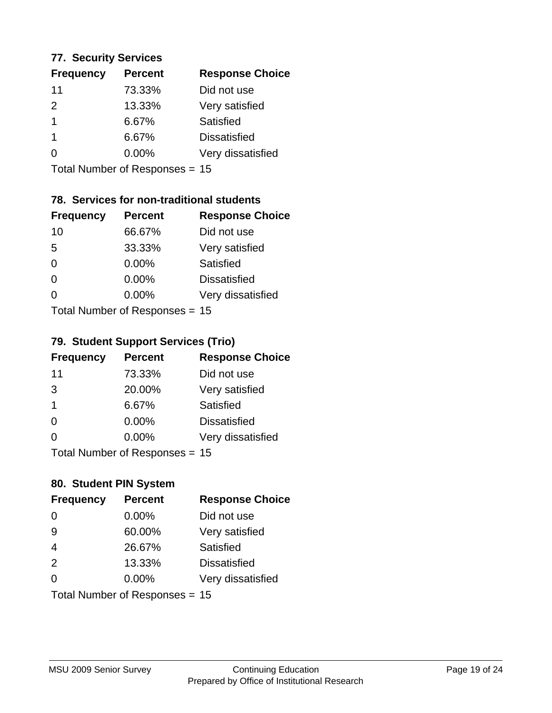#### **77. Security Services**

| <b>Response Choice</b><br><b>Percent</b> |
|------------------------------------------|
| Did not use                              |
| Very satisfied                           |
| Satisfied                                |
| <b>Dissatisfied</b>                      |
| Very dissatisfied                        |
|                                          |

Total Number of Responses = 15

## **78. Services for non-traditional students**

| <b>Frequency</b>           | <b>Percent</b> | <b>Response Choice</b> |
|----------------------------|----------------|------------------------|
| 10                         | 66.67%         | Did not use            |
| 5                          | 33.33%         | Very satisfied         |
| $\Omega$                   | $0.00\%$       | Satisfied              |
| $\Omega$                   | 0.00%          | <b>Dissatisfied</b>    |
| ∩                          | 0.00%          | Very dissatisfied      |
| Total Number of Deparation |                |                        |

Total Number of Responses = 15

## **79. Student Support Services (Trio)**

| <b>Frequency</b>                | <b>Percent</b> | <b>Response Choice</b> |
|---------------------------------|----------------|------------------------|
| 11                              | 73.33%         | Did not use            |
| 3                               | 20.00%         | Very satisfied         |
| $\mathbf 1$                     | 6.67%          | Satisfied              |
| $\Omega$                        | $0.00\%$       | <b>Dissatisfied</b>    |
| $\Omega$                        | $0.00\%$       | Very dissatisfied      |
| $Total Number of Denonose = 45$ |                |                        |

Total Number of Responses = 15

## **80. Student PIN System**

| <b>Frequency</b>               | <b>Percent</b> | <b>Response Choice</b> |
|--------------------------------|----------------|------------------------|
| $\Omega$                       | 0.00%          | Did not use            |
| 9                              | 60.00%         | Very satisfied         |
| $\overline{4}$                 | 26.67%         | Satisfied              |
| 2                              | 13.33%         | <b>Dissatisfied</b>    |
| $\Omega$                       | $0.00\%$       | Very dissatisfied      |
| Total Number of Responses = 15 |                |                        |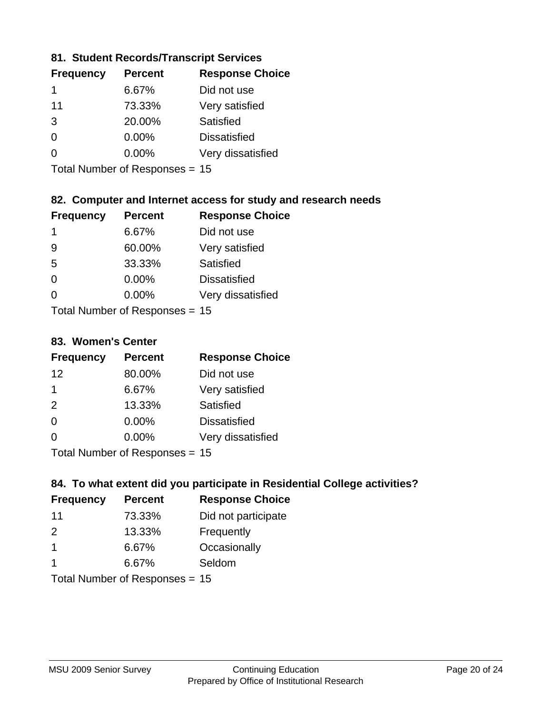### **81. Student Records/Transcript Services**

| <b>Percent</b> | <b>Response Choice</b> |  |
|----------------|------------------------|--|
| 6.67%          | Did not use            |  |
| 73.33%         | Very satisfied         |  |
| 20.00%         | Satisfied              |  |
| 0.00%          | <b>Dissatisfied</b>    |  |
| $0.00\%$       | Very dissatisfied      |  |
|                |                        |  |

Total Number of Responses = 15

### **82. Computer and Internet access for study and research needs**

| <b>Frequency</b>          | <b>Percent</b> | <b>Response Choice</b> |
|---------------------------|----------------|------------------------|
| 1                         | 6.67%          | Did not use            |
| 9                         | 60.00%         | Very satisfied         |
| 5                         | 33.33%         | Satisfied              |
| $\Omega$                  | 0.00%          | <b>Dissatisfied</b>    |
| ∩                         | 0.00%          | Very dissatisfied      |
| Total Number of Deepersee |                |                        |

Total Number of Responses = 15

#### **83. Women's Center**

| <b>Frequency</b>           | <b>Percent</b> | <b>Response Choice</b> |
|----------------------------|----------------|------------------------|
| 12                         | 80.00%         | Did not use            |
| 1                          | 6.67%          | Very satisfied         |
| 2                          | 13.33%         | Satisfied              |
| $\Omega$                   | 0.00%          | <b>Dissatisfied</b>    |
| $\Omega$                   | 0.00%          | Very dissatisfied      |
| Total Number of Desperance |                |                        |

Total Number of Responses = 15

### **84. To what extent did you participate in Residential College activities?**

| <b>Frequency</b> | <b>Percent</b>             | <b>Response Choice</b> |  |
|------------------|----------------------------|------------------------|--|
| 11               | 73.33%                     | Did not participate    |  |
| $\mathcal{P}$    | 13.33%                     | Frequently             |  |
| -1               | 6.67%                      | Occasionally           |  |
|                  | 6.67%                      | Seldom                 |  |
|                  | Total Number of Denonone – |                        |  |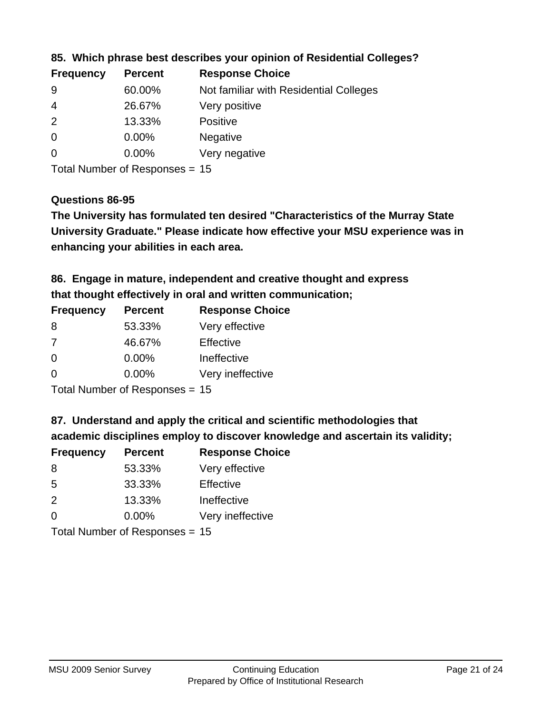| <b>Frequency</b> | <b>Percent</b> | <b>Response Choice</b>                 |
|------------------|----------------|----------------------------------------|
| -9               | 60.00%         | Not familiar with Residential Colleges |
| -4               | 26.67%         | Very positive                          |
| -2               | 13.33%         | <b>Positive</b>                        |
| -0               | $0.00\%$       | <b>Negative</b>                        |
| $\overline{0}$   | 0.00%          | Very negative                          |
|                  |                |                                        |

**85. Which phrase best describes your opinion of Residential Colleges?**

Total Number of Responses = 15

### **Questions 86-95**

**University Graduate." Please indicate how effective your MSU experience was in The University has formulated ten desired "Characteristics of the Murray State enhancing your abilities in each area.**

**86. Engage in mature, independent and creative thought and express that thought effectively in oral and written communication;**

| <b>Frequency</b> | <b>Percent</b> | <b>Response Choice</b> |
|------------------|----------------|------------------------|
| 8                | 53.33%         | Very effective         |
| 7                | 46.67%         | Effective              |
| $\Omega$         | 0.00%          | Ineffective            |
| $\Omega$         | $0.00\%$       | Very ineffective       |
|                  |                |                        |

Total Number of Responses = 15

**87. Understand and apply the critical and scientific methodologies that** 

**academic disciplines employ to discover knowledge and ascertain its validity;**

| <b>Frequency</b> | <b>Percent</b> | <b>Response Choice</b> |
|------------------|----------------|------------------------|
| 8                | 53.33%         | Very effective         |
| .5               | 33.33%         | Effective              |
| $\mathcal{P}$    | 13.33%         | Ineffective            |
| $\Omega$         | 0.00%          | Very ineffective       |
|                  |                |                        |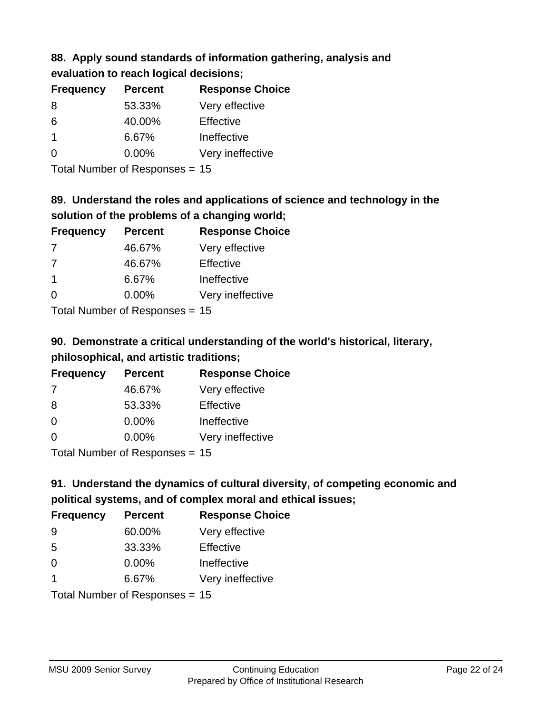## **88. Apply sound standards of information gathering, analysis and evaluation to reach logical decisions;**

| <b>Percent</b> | <b>Response Choice</b> |
|----------------|------------------------|
| 53.33%         | Very effective         |
| 40.00%         | Effective              |
| 6.67%          | Ineffective            |
| $0.00\%$       | Very ineffective       |
|                |                        |

Total Number of Responses = 15

## **89. Understand the roles and applications of science and technology in the solution of the problems of a changing world;**

| <b>Frequency</b>           | <b>Percent</b> | <b>Response Choice</b> |
|----------------------------|----------------|------------------------|
| 7                          | 46.67%         | Very effective         |
| 7                          | 46.67%         | Effective              |
| $\overline{1}$             | 6.67%          | Ineffective            |
| $\Omega$                   | $0.00\%$       | Very ineffective       |
| Tatal Manakan af Dagmanage |                |                        |

Total Number of Responses = 15

# **90. Demonstrate a critical understanding of the world's historical, literary, philosophical, and artistic traditions;**

| <b>Frequency</b><br><b>Percent</b> |                              | <b>Response Choice</b> |  |
|------------------------------------|------------------------------|------------------------|--|
| 7                                  | 46.67%                       | Very effective         |  |
| 8                                  | 53.33%                       | Effective              |  |
| $\Omega$                           | 0.00%                        | Ineffective            |  |
| $\Omega$                           | 0.00%                        | Very ineffective       |  |
|                                    | The HI all and December 2014 |                        |  |

Total Number of Responses = 15

# **91. Understand the dynamics of cultural diversity, of competing economic and political systems, and of complex moral and ethical issues;**

| <b>Frequency</b>        | <b>Percent</b>                 | <b>Response Choice</b> |
|-------------------------|--------------------------------|------------------------|
| 9                       | 60.00%                         | Very effective         |
| 5                       | 33.33%                         | Effective              |
| 0                       | 0.00%                          | Ineffective            |
| $\overline{\mathbf{1}}$ | 6.67%                          | Very ineffective       |
|                         | Total Number of Responses = 15 |                        |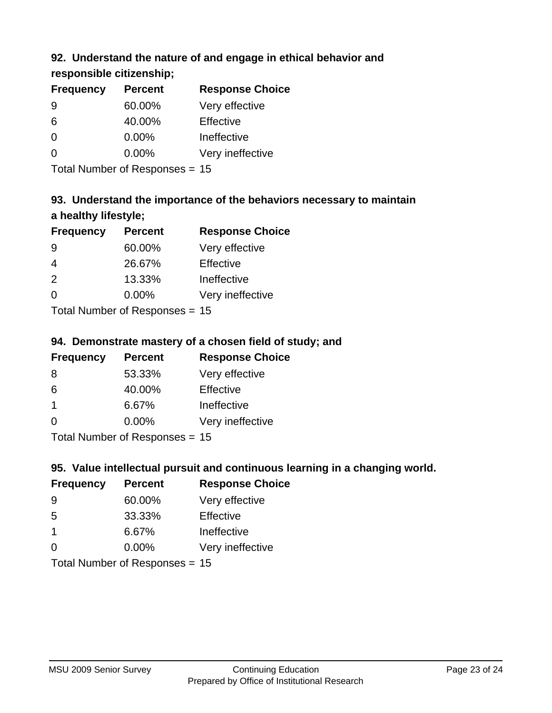## **92. Understand the nature of and engage in ethical behavior and**

## **responsible citizenship;**

| <b>Frequency</b> | <b>Percent</b> | <b>Response Choice</b> |
|------------------|----------------|------------------------|
| 9                | 60.00%         | Very effective         |
| 6                | 40.00%         | Effective              |
| O                | $0.00\%$       | Ineffective            |
| O                | $0.00\%$       | Very ineffective       |
|                  |                |                        |

Total Number of Responses = 15

# **93. Understand the importance of the behaviors necessary to maintain a healthy lifestyle;**

| <b>Frequency</b>           | <b>Percent</b> | <b>Response Choice</b> |
|----------------------------|----------------|------------------------|
| 9                          | 60.00%         | Very effective         |
| $\overline{4}$             | 26.67%         | Effective              |
| 2                          | 13.33%         | Ineffective            |
| $\Omega$                   | 0.00%          | Very ineffective       |
| Tatal Number of Desperance |                |                        |

Total Number of Responses = 15

## **94. Demonstrate mastery of a chosen field of study; and**

| <b>Frequency</b> | <b>Percent</b> | <b>Response Choice</b> |
|------------------|----------------|------------------------|
| 8                | 53.33%         | Very effective         |
| 6                | 40.00%         | Effective              |
| $\mathbf 1$      | 6.67%          | Ineffective            |
| $\Omega$         | 0.00%          | Very ineffective       |
|                  |                |                        |

Total Number of Responses = 15

## **95. Value intellectual pursuit and continuous learning in a changing world.**

| <b>Frequency</b>                                                                                                | <b>Percent</b> | <b>Response Choice</b> |  |
|-----------------------------------------------------------------------------------------------------------------|----------------|------------------------|--|
| -9                                                                                                              | 60.00%         | Very effective         |  |
| -5                                                                                                              | 33.33%         | Effective              |  |
| $\overline{1}$                                                                                                  | 6.67%          | Ineffective            |  |
| $\Omega$                                                                                                        | 0.00%          | Very ineffective       |  |
| The Little and the Little Communication of the Communication of the Communication of the Communication of the U |                |                        |  |